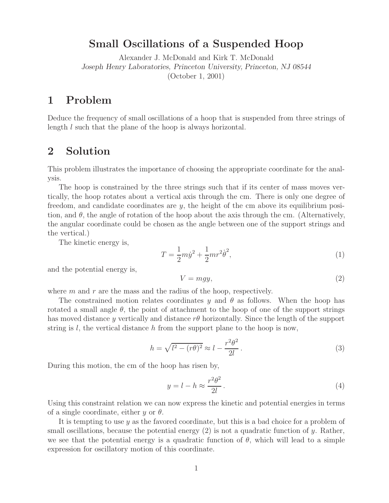## **Small Oscillations of a Suspended Hoop**

Alexander J. McDonald and Kirk T. McDonald *Joseph Henry Laboratories, Princeton University, Princeton, NJ 08544* (October 1, 2001)

## **1 Problem**

Deduce the frequency of small oscillations of a hoop that is suspended from three strings of length l such that the plane of the hoop is always horizontal.

## **2 Solution**

This problem illustrates the importance of choosing the appropriate coordinate for the analysis.

The hoop is constrained by the three strings such that if its center of mass moves vertically, the hoop rotates about a vertical axis through the cm. There is only one degree of freedom, and candidate coordinates are  $y$ , the height of the cm above its equilibrium position, and  $\theta$ , the angle of rotation of the hoop about the axis through the cm. (Alternatively, the angular coordinate could be chosen as the angle between one of the support strings and the vertical.)

The kinetic energy is,

$$
T = \frac{1}{2}m\dot{y}^2 + \frac{1}{2}mr^2\dot{\theta}^2,
$$
\n(1)

and the potential energy is,

$$
V = mgy,\t\t(2)
$$

where  $m$  and  $r$  are the mass and the radius of the hoop, respectively.

The constrained motion relates coordinates y and  $\theta$  as follows. When the hoop has rotated a small angle  $\theta$ , the point of attachment to the hoop of one of the support strings has moved distance y vertically and distance  $r\theta$  horizontally. Since the length of the support string is  $l$ , the vertical distance h from the support plane to the hoop is now,

$$
h = \sqrt{l^2 - (r\theta)^2} \approx l - \frac{r^2 \theta^2}{2l}.
$$
\n(3)

During this motion, the cm of the hoop has risen by,

$$
y = l - h \approx \frac{r^2 \theta^2}{2l}.
$$
\n(4)

Using this constraint relation we can now express the kinetic and potential energies in terms of a single coordinate, either  $y$  or  $\theta$ .

It is tempting to use y as the favored coordinate, but this is a bad choice for a problem of small oscillations, because the potential energy  $(2)$  is not a quadratic function of y. Rather, we see that the potential energy is a quadratic function of  $\theta$ , which will lead to a simple expression for oscillatory motion of this coordinate.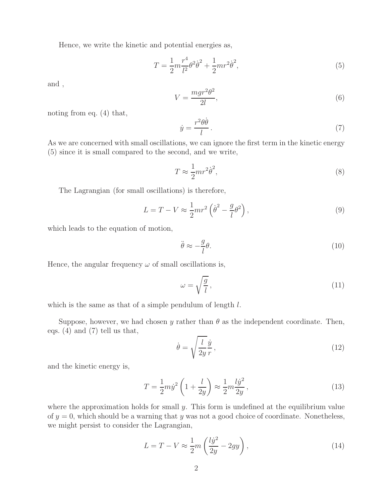Hence, we write the kinetic and potential energies as,

$$
T = \frac{1}{2}m\frac{r^4}{l^2}\theta^2\dot{\theta}^2 + \frac{1}{2}mr^2\dot{\theta}^2,
$$
\n(5)

and ,

$$
V = \frac{mgr^2\theta^2}{2l},\tag{6}
$$

noting from eq. (4) that,

$$
\dot{y} = \frac{r^2 \theta \dot{\theta}}{l} \,. \tag{7}
$$

 $\dot{y} = \frac{\dot{x} - \dot{y}}{l}$ . (7)<br>As we are concerned with small oscillations, we can ignore the first term in the kinetic energy (5) since it is small compared to the second, and we write,

$$
T \approx \frac{1}{2}mr^2\dot{\theta}^2,\tag{8}
$$

The Lagrangian (for small oscillations) is therefore,

$$
L = T - V \approx \frac{1}{2}mr^2 \left(\dot{\theta}^2 - \frac{g}{l}\theta^2\right),\tag{9}
$$

which leads to the equation of motion,

$$
\ddot{\theta} \approx -\frac{g}{l}\theta. \tag{10}
$$

Hence, the angular frequency  $\omega$  of small oscillations is,

$$
\omega = \sqrt{\frac{g}{l}},\tag{11}
$$

which is the same as that of a simple pendulum of length  $l$ .

Suppose, however, we had chosen y rather than  $\theta$  as the independent coordinate. Then, eqs. (4) and (7) tell us that,

$$
\dot{\theta} = \sqrt{\frac{l}{2y}} \frac{\dot{y}}{r},\tag{12}
$$

and the kinetic energy is,

$$
T = \frac{1}{2}m\dot{y}^2 \left(1 + \frac{l}{2y}\right) \approx \frac{1}{2}m\frac{l\dot{y}^2}{2y},\tag{13}
$$

where the approximation holds for small  $y$ . This form is undefined at the equilibrium value of  $y = 0$ , which should be a warning that y was not a good choice of coordinate. Nonetheless, we might persist to consider the Lagrangian,

$$
L = T - V \approx \frac{1}{2}m\left(\frac{lj^2}{2y} - 2gy\right),\tag{14}
$$